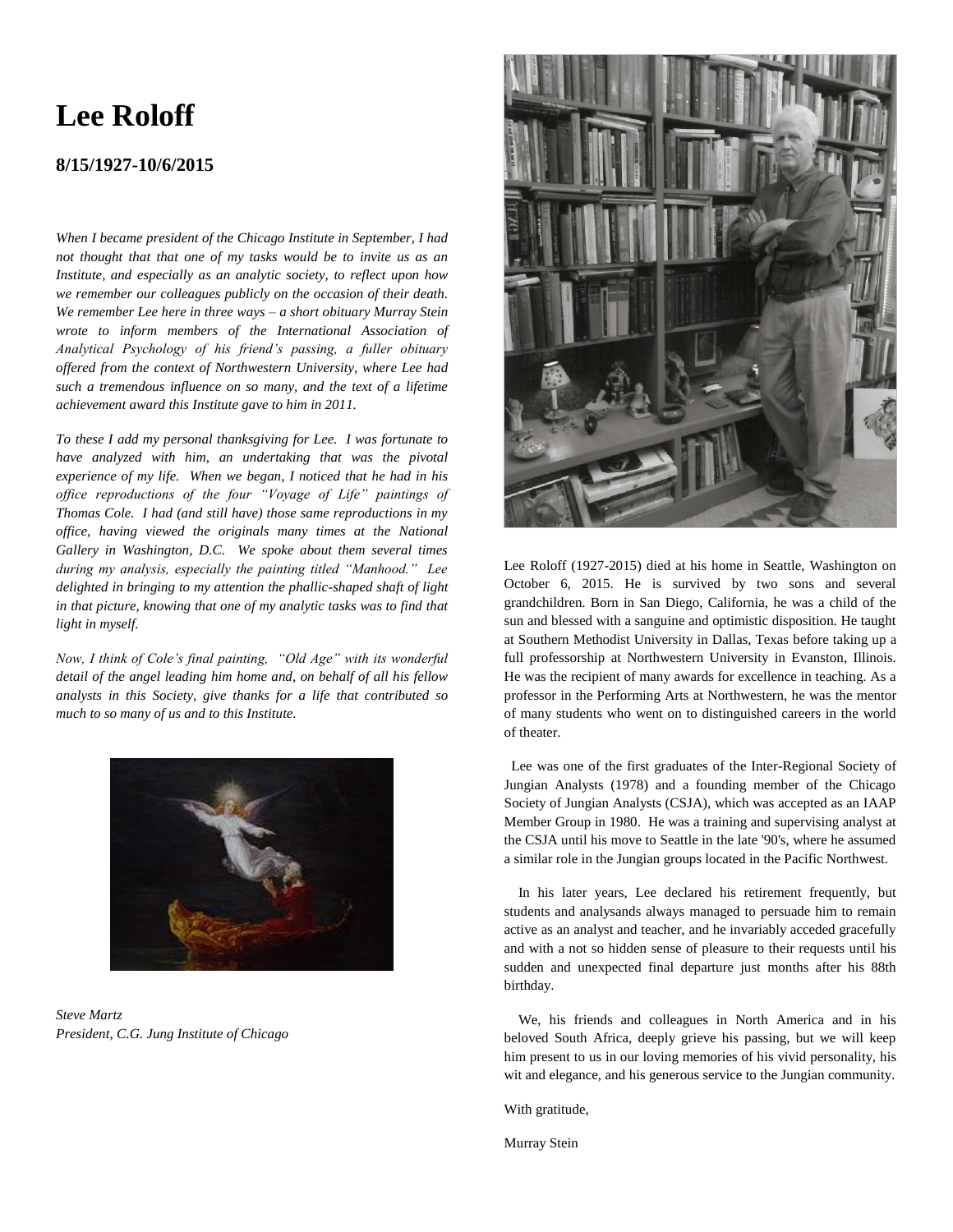# **Lee Roloff**

## **8/15/1927-10/6/2015**

*When I became president of the Chicago Institute in September, I had not thought that that one of my tasks would be to invite us as an Institute, and especially as an analytic society, to reflect upon how we remember our colleagues publicly on the occasion of their death. We remember Lee here in three ways – a short obituary Murray Stein wrote to inform members of the International Association of Analytical Psychology of his friend's passing, a fuller obituary offered from the context of Northwestern University, where Lee had such a tremendous influence on so many, and the text of a lifetime achievement award this Institute gave to him in 2011.*

*To these I add my personal thanksgiving for Lee. I was fortunate to have analyzed with him, an undertaking that was the pivotal experience of my life. When we began, I noticed that he had in his office reproductions of the four "Voyage of Life" paintings of Thomas Cole. I had (and still have) those same reproductions in my office, having viewed the originals many times at the National Gallery in Washington, D.C. We spoke about them several times during my analysis, especially the painting titled "Manhood." Lee delighted in bringing to my attention the phallic-shaped shaft of light in that picture, knowing that one of my analytic tasks was to find that light in myself.*

*Now, I think of Cole's final painting, "Old Age" with its wonderful detail of the angel leading him home and, on behalf of all his fellow analysts in this Society, give thanks for a life that contributed so much to so many of us and to this Institute.* 



*Steve Martz President, C.G. Jung Institute of Chicago*



Lee Roloff (1927-2015) died at his home in Seattle, Washington on October 6, 2015. He is survived by two sons and several grandchildren. Born in San Diego, California, he was a child of the sun and blessed with a sanguine and optimistic disposition. He taught at Southern Methodist University in Dallas, Texas before taking up a full professorship at Northwestern University in Evanston, Illinois. He was the recipient of many awards for excellence in teaching. As a professor in the Performing Arts at Northwestern, he was the mentor of many students who went on to distinguished careers in the world of theater.

 Lee was one of the first graduates of the Inter-Regional Society of Jungian Analysts (1978) and a founding member of the Chicago Society of Jungian Analysts (CSJA), which was accepted as an IAAP Member Group in 1980. He was a training and supervising analyst at the CSJA until his move to Seattle in the late '90's, where he assumed a similar role in the Jungian groups located in the Pacific Northwest.

 In his later years, Lee declared his retirement frequently, but students and analysands always managed to persuade him to remain active as an analyst and teacher, and he invariably acceded gracefully and with a not so hidden sense of pleasure to their requests until his sudden and unexpected final departure just months after his 88th birthday.

 We, his friends and colleagues in North America and in his beloved South Africa, deeply grieve his passing, but we will keep him present to us in our loving memories of his vivid personality, his wit and elegance, and his generous service to the Jungian community.

With gratitude,

Murray Stein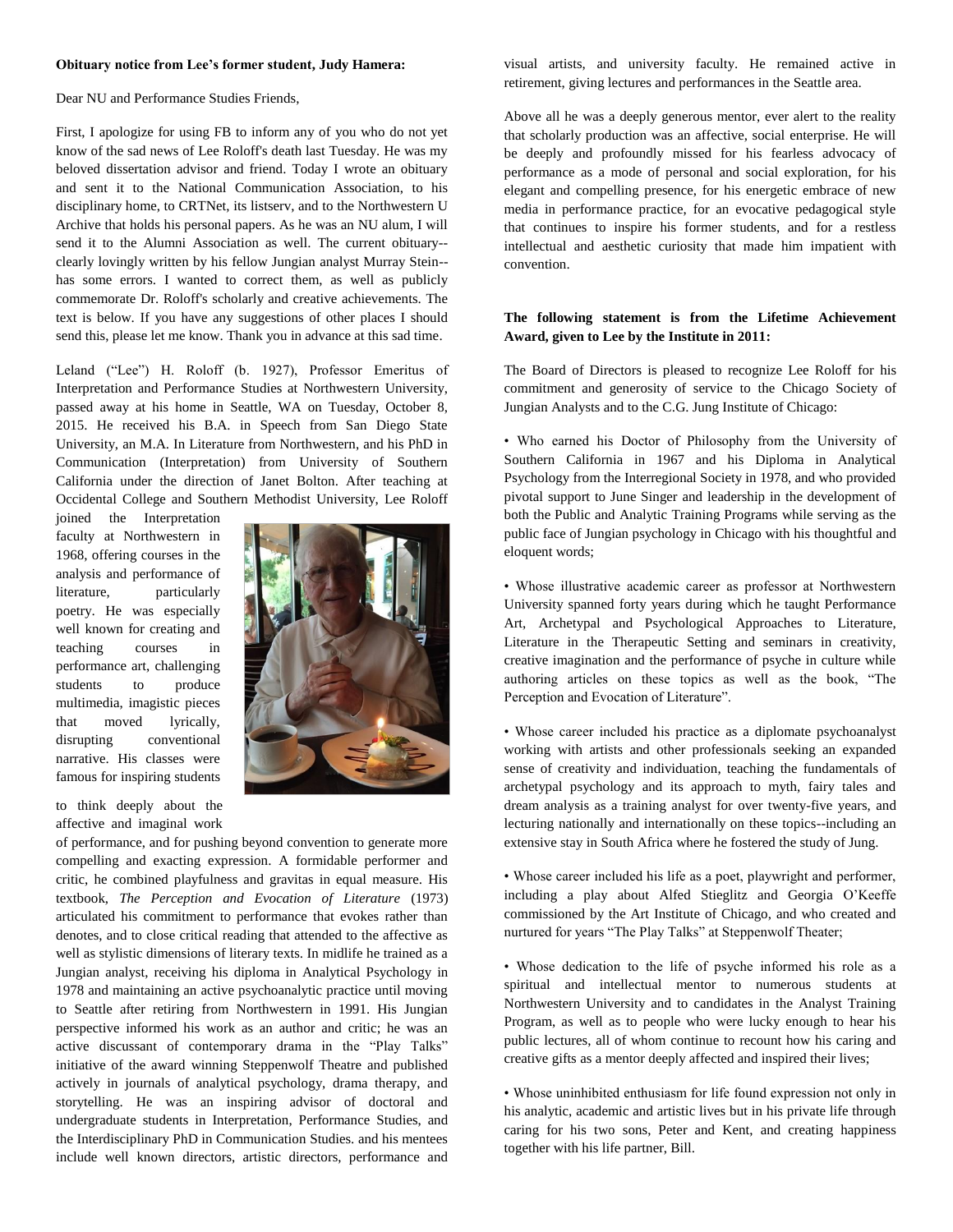#### **Obituary notice from Lee's former student, Judy Hamera:**

Dear NU and Performance Studies Friends,

First, I apologize for using FB to inform any of you who do not yet know of the sad news of Lee Roloff's death last Tuesday. He was my beloved dissertation advisor and friend. Today I wrote an obituary and sent it to the National Communication Association, to his disciplinary home, to CRTNet, its listserv, and to the Northwestern U Archive that holds his personal papers. As he was an NU alum, I will send it to the Alumni Association as well. The current obituary- clearly lovingly written by his fellow Jungian analyst Murray Stein- has some errors. I wanted to correct them, as well as publicly commemorate Dr. Roloff's scholarly and creative achievements. The text is below. If you have any suggestions of other places I should send this, please let me know. Thank you in advance at this sad time.

Leland ("Lee") H. Roloff (b. 1927), Professor Emeritus of Interpretation and Performance Studies at Northwestern University, passed away at his home in Seattle, WA on Tuesday, October 8, 2015. He received his B.A. in Speech from San Diego State University, an M.A. In Literature from Northwestern, and his PhD in Communication (Interpretation) from University of Southern California under the direction of Janet Bolton. After teaching at Occidental College and Southern Methodist University, Lee Roloff

joined the Interpretation faculty at Northwestern in 1968, offering courses in the analysis and performance of literature, particularly poetry. He was especially well known for creating and teaching courses in performance art, challenging students to produce multimedia, imagistic pieces that moved lyrically, disrupting conventional narrative. His classes were famous for inspiring students

to think deeply about the affective and imaginal work



of performance, and for pushing beyond convention to generate more compelling and exacting expression. A formidable performer and critic, he combined playfulness and gravitas in equal measure. His textbook, *The Perception and Evocation of Literature* (1973) articulated his commitment to performance that evokes rather than denotes, and to close critical reading that attended to the affective as well as stylistic dimensions of literary texts. In midlife he trained as a Jungian analyst, receiving his diploma in Analytical Psychology in 1978 and maintaining an active psychoanalytic practice until moving to Seattle after retiring from Northwestern in 1991. His Jungian perspective informed his work as an author and critic; he was an active discussant of contemporary drama in the "Play Talks" initiative of the award winning Steppenwolf Theatre and published actively in journals of analytical psychology, drama therapy, and storytelling. He was an inspiring advisor of doctoral and undergraduate students in Interpretation, Performance Studies, and the Interdisciplinary PhD in Communication Studies. and his mentees include well known directors, artistic directors, performance and

visual artists, and university faculty. He remained active in retirement, giving lectures and performances in the Seattle area.

Above all he was a deeply generous mentor, ever alert to the reality that scholarly production was an affective, social enterprise. He will be deeply and profoundly missed for his fearless advocacy of performance as a mode of personal and social exploration, for his elegant and compelling presence, for his energetic embrace of new media in performance practice, for an evocative pedagogical style that continues to inspire his former students, and for a restless intellectual and aesthetic curiosity that made him impatient with convention.

### **The following statement is from the Lifetime Achievement Award, given to Lee by the Institute in 2011:**

The Board of Directors is pleased to recognize Lee Roloff for his commitment and generosity of service to the Chicago Society of Jungian Analysts and to the C.G. Jung Institute of Chicago:

• Who earned his Doctor of Philosophy from the University of Southern California in 1967 and his Diploma in Analytical Psychology from the Interregional Society in 1978, and who provided pivotal support to June Singer and leadership in the development of both the Public and Analytic Training Programs while serving as the public face of Jungian psychology in Chicago with his thoughtful and eloquent words;

• Whose illustrative academic career as professor at Northwestern University spanned forty years during which he taught Performance Art, Archetypal and Psychological Approaches to Literature, Literature in the Therapeutic Setting and seminars in creativity, creative imagination and the performance of psyche in culture while authoring articles on these topics as well as the book, "The Perception and Evocation of Literature".

• Whose career included his practice as a diplomate psychoanalyst working with artists and other professionals seeking an expanded sense of creativity and individuation, teaching the fundamentals of archetypal psychology and its approach to myth, fairy tales and dream analysis as a training analyst for over twenty-five years, and lecturing nationally and internationally on these topics--including an extensive stay in South Africa where he fostered the study of Jung.

• Whose career included his life as a poet, playwright and performer, including a play about Alfed Stieglitz and Georgia O'Keeffe commissioned by the Art Institute of Chicago, and who created and nurtured for years "The Play Talks" at Steppenwolf Theater;

• Whose dedication to the life of psyche informed his role as a spiritual and intellectual mentor to numerous students at Northwestern University and to candidates in the Analyst Training Program, as well as to people who were lucky enough to hear his public lectures, all of whom continue to recount how his caring and creative gifts as a mentor deeply affected and inspired their lives;

• Whose uninhibited enthusiasm for life found expression not only in his analytic, academic and artistic lives but in his private life through caring for his two sons, Peter and Kent, and creating happiness together with his life partner, Bill.